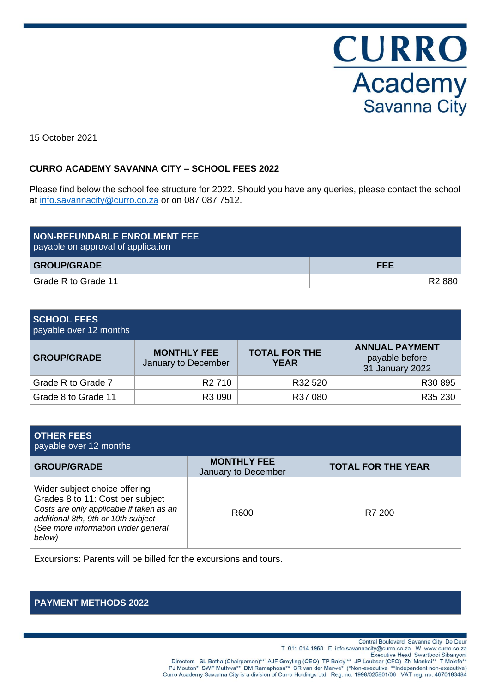

15 October 2021

# **CURRO ACADEMY SAVANNA CITY – SCHOOL FEES 2022**

Please find below the school fee structure for 2022. Should you have any queries, please contact the school at [info.savannacity@curro.co.za](mailto:info.savannacity@curro.co.za) or on 087 087 7512.

| <b>NON-REFUNDABLE ENROLMENT FEE</b><br>payable on approval of application |                    |
|---------------------------------------------------------------------------|--------------------|
| <b>GROUP/GRADE</b>                                                        | <b>FEE</b>         |
| Grade R to Grade 11                                                       | R <sub>2</sub> 880 |

#### **SCHOOL FEES** payable over 12 months

| $P = 0.7$ and $P = 0.1$ and $P = 0.1$ and $P = 0.1$ |                                     |                                                            |  |  |  |
|-----------------------------------------------------|-------------------------------------|------------------------------------------------------------|--|--|--|
| <b>MONTHLY FEE</b><br>January to December           | <b>TOTAL FOR THE</b><br><b>YEAR</b> | <b>ANNUAL PAYMENT</b><br>payable before<br>31 January 2022 |  |  |  |
| R <sub>2</sub> 710                                  | R32 520                             | R30 895                                                    |  |  |  |
| R3 090                                              | R37 080                             | R35 230                                                    |  |  |  |
|                                                     |                                     |                                                            |  |  |  |

| <b>OTHER FEES</b><br>payable over 12 months                                                                                                                                                           |                                           |                           |  |  |  |
|-------------------------------------------------------------------------------------------------------------------------------------------------------------------------------------------------------|-------------------------------------------|---------------------------|--|--|--|
| <b>GROUP/GRADE</b>                                                                                                                                                                                    | <b>MONTHLY FEE</b><br>January to December | <b>TOTAL FOR THE YEAR</b> |  |  |  |
| Wider subject choice offering<br>Grades 8 to 11: Cost per subject<br>Costs are only applicable if taken as an<br>additional 8th, 9th or 10th subject<br>(See more information under general<br>below) | R600                                      | R7 200                    |  |  |  |
| Forecasters . Dependent will be telled for the correspondence and terms.                                                                                                                              |                                           |                           |  |  |  |

Excursions: Parents will be billed for the excursions and tours.

# **PAYMENT METHODS 2022**

Central Boulevard Savanna City De Deur T 011 014 1968 E info.savannacity@curro.co.za W www.curro.co.za Directors SL Botha (Chairperson)\*\* AJF Greyling (CEO) TP Baloyi\*\* JP Loubser (Cro.0.24 Www.curro.co.24<br>"Executive Head Swartbooi Sibanyoni Executive Head Swartbooi Sibanyoni<br>"PJ Mouton\* SWF Muthwa\*\* DM Ramaphosa\*\* CR van d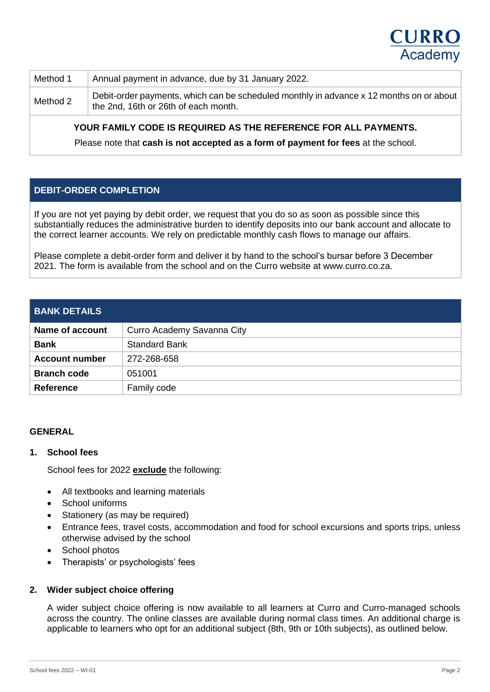

| Method 1 | Annual payment in advance, due by 31 January 2022.                                                                              |
|----------|---------------------------------------------------------------------------------------------------------------------------------|
| Method 2 | Debit-order payments, which can be scheduled monthly in advance x 12 months on or about<br>the 2nd, 16th or 26th of each month. |

# **YOUR FAMILY CODE IS REQUIRED AS THE REFERENCE FOR ALL PAYMENTS.**

Please note that **cash is not accepted as a form of payment for fees** at the school.

# **DEBIT-ORDER COMPLETION**

If you are not yet paying by debit order, we request that you do so as soon as possible since this substantially reduces the administrative burden to identify deposits into our bank account and allocate to the correct learner accounts. We rely on predictable monthly cash flows to manage our affairs.

Please complete a debit-order form and deliver it by hand to the school's bursar before 3 December 2021. The form is available from the school and on the Curro website at www.curro.co.za.

| <b>BANK DETAILS</b>   |                            |
|-----------------------|----------------------------|
| Name of account       | Curro Academy Savanna City |
| <b>Bank</b>           | <b>Standard Bank</b>       |
| <b>Account number</b> | 272-268-658                |
| <b>Branch code</b>    | 051001                     |
| <b>Reference</b>      | Family code                |

#### **GENERAL**

#### **1. School fees**

School fees for 2022 **exclude** the following:

- All textbooks and learning materials
- School uniforms
- Stationery (as may be required)
- Entrance fees, travel costs, accommodation and food for school excursions and sports trips, unless otherwise advised by the school
- School photos
- Therapists' or psychologists' fees

#### **2. Wider subject choice offering**

A wider subject choice offering is now available to all learners at Curro and Curro-managed schools across the country. The online classes are available during normal class times. An additional charge is applicable to learners who opt for an additional subject (8th, 9th or 10th subjects), as outlined below.